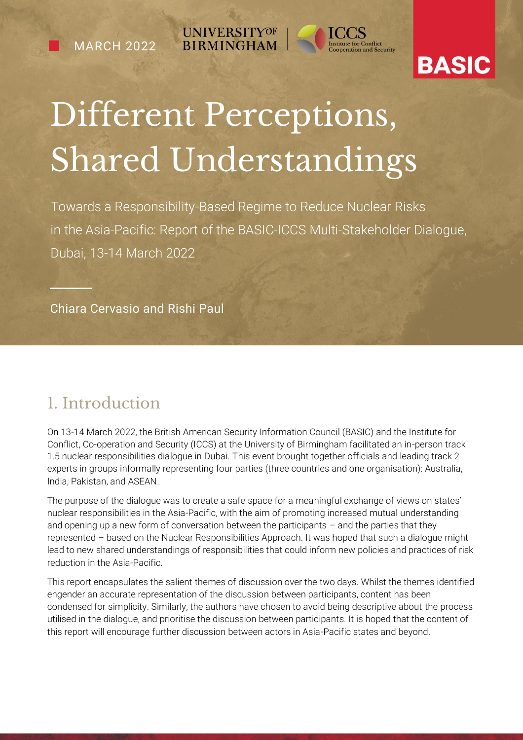e

**UNIVERSITYOF BIRMINGHAM** 



## **BASIC**

# Different Perceptions, Shared Understandings

Towards a Responsibility-Based Regime to Reduce Nuclear Risks in the Asia-Pacific: Report of the BASIC-ICCS Multi-Stakeholder Dialogue, Dubai, 13-14 March 2022

Chiara Cervasio and Rishi Paul

### 1. Introduction

On 13-14 March 2022, the British American Security Information Council (BASIC) and the Institute for Conflict, Co-operation and Security (ICCS) at the University of Birmingham facilitated an in-person track 1.5 nuclear responsibilities dialogue in Dubai. This event brought together officials and leading track 2 experts in groups informally representing four parties (three countries and one organisation): Australia, India, Pakistan, and ASEAN.

The purpose of the dialogue was to create a safe space for a meaningful exchange of views on states' nuclear responsibilities in the Asia-Pacific, with the aim of promoting increased mutual understanding and opening up a new form of conversation between the participants – and the parties that they represented – based on the Nuclear Responsibilities Approach. It was hoped that such a dialogue might lead to new shared understandings of responsibilities that could inform new policies and practices of risk reduction in the Asia-Pacific.

This report encapsulates the salient themes of discussion over the two days. Whilst the themes identified engender an accurate representation of the discussion between participants, content has been condensed for simplicity. Similarly, the authors have chosen to avoid being descriptive about the process utilised in the dialogue, and prioritise the discussion between participants. It is hoped that the content of this report will encourage further discussion between actors in Asia-Pacific states and beyond.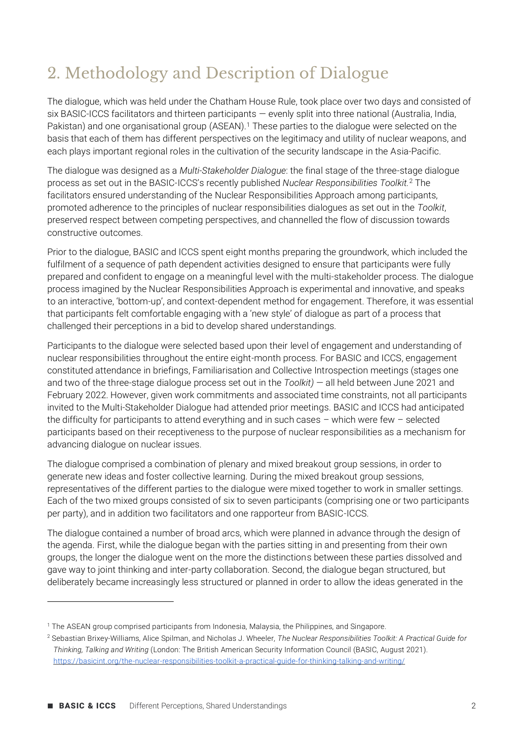### 2. Methodology and Description of Dialogue

The dialogue, which was held under the Chatham House Rule, took place over two days and consisted of six BASIC-ICCS facilitators and thirteen participants — evenly split into three national (Australia, India, Pakistan) and one organisational group (ASEAN).<sup>1</sup> These parties to the dialogue were selected on the basis that each of them has different perspectives on the legitimacy and utility of nuclear weapons, and each plays important regional roles in the cultivation of the security landscape in the Asia-Pacific.

The dialogue was designed as a *Multi-Stakeholder Dialogue*: the final stage of the three-stage dialogue process as set out in the BASIC-ICCS's recently published *Nuclear Responsibilities Toolkit.*<sup>2</sup> The facilitators ensured understanding of the Nuclear Responsibilities Approach among participants, promoted adherence to the principles of nuclear responsibilities dialogues as set out in the *Toolkit*, preserved respect between competing perspectives, and channelled the flow of discussion towards constructive outcomes.

Prior to the dialogue, BASIC and ICCS spent eight months preparing the groundwork, which included the fulfilment of a sequence of path dependent activities designed to ensure that participants were fully prepared and confident to engage on a meaningful level with the multi-stakeholder process. The dialogue process imagined by the Nuclear Responsibilities Approach is experimental and innovative, and speaks to an interactive, 'bottom-up', and context-dependent method for engagement. Therefore, it was essential that participants felt comfortable engaging with a 'new style' of dialogue as part of a process that challenged their perceptions in a bid to develop shared understandings.

Participants to the dialogue were selected based upon their level of engagement and understanding of nuclear responsibilities throughout the entire eight-month process. For BASIC and ICCS, engagement constituted attendance in briefings, Familiarisation and Collective Introspection meetings (stages one and two of the three-stage dialogue process set out in the *Toolkit)* — all held between June 2021 and February 2022. However, given work commitments and associated time constraints, not all participants invited to the Multi-Stakeholder Dialogue had attended prior meetings. BASIC and ICCS had anticipated the difficulty for participants to attend everything and in such cases – which were few – selected participants based on their receptiveness to the purpose of nuclear responsibilities as a mechanism for advancing dialogue on nuclear issues.

The dialogue comprised a combination of plenary and mixed breakout group sessions, in order to generate new ideas and foster collective learning. During the mixed breakout group sessions, representatives of the different parties to the dialogue were mixed together to work in smaller settings. Each of the two mixed groups consisted of six to seven participants (comprising one or two participants per party), and in addition two facilitators and one rapporteur from BASIC-ICCS.

The dialogue contained a number of broad arcs, which were planned in advance through the design of the agenda. First, while the dialogue began with the parties sitting in and presenting from their own groups, the longer the dialogue went on the more the distinctions between these parties dissolved and gave way to joint thinking and inter-party collaboration. Second, the dialogue began structured, but deliberately became increasingly less structured or planned in order to allow the ideas generated in the

<sup>1</sup> The ASEAN group comprised participants from Indonesia, Malaysia, the Philippines, and Singapore.

<sup>2</sup> Sebastian Brixey-Williams, Alice Spilman, and Nicholas J. Wheeler, *The Nuclear Responsibilities Toolkit: A Practical Guide for Thinking, Talking and Writing* (London: The British American Security Information Council (BASIC, August 2021). <https://basicint.org/the-nuclear-responsibilities-toolkit-a-practical-guide-for-thinking-talking-and-writing/>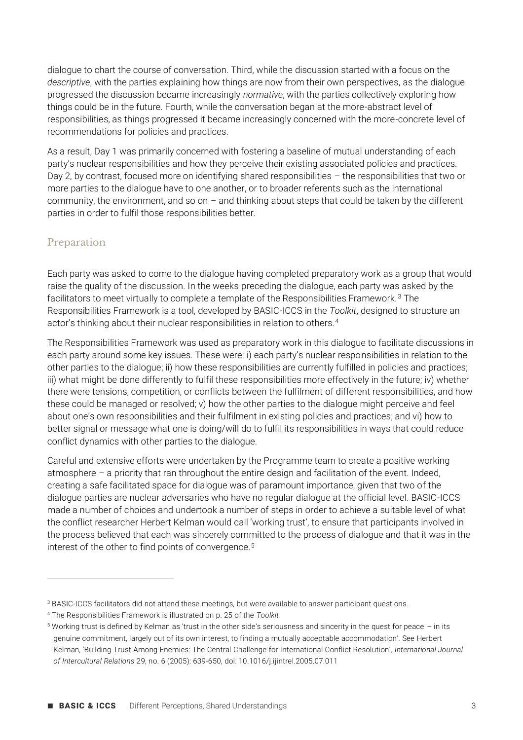dialogue to chart the course of conversation. Third, while the discussion started with a focus on the *descriptive*, with the parties explaining how things are now from their own perspectives, as the dialogue progressed the discussion became increasingly *normative*, with the parties collectively exploring how things could be in the future. Fourth, while the conversation began at the more-abstract level of responsibilities, as things progressed it became increasingly concerned with the more-concrete level of recommendations for policies and practices.

As a result, Day 1 was primarily concerned with fostering a baseline of mutual understanding of each party's nuclear responsibilities and how they perceive their existing associated policies and practices. Day 2, by contrast, focused more on identifying shared responsibilities – the responsibilities that two or more parties to the dialogue have to one another, or to broader referents such as the international community, the environment, and so on – and thinking about steps that could be taken by the different parties in order to fulfil those responsibilities better.

### Preparation

Each party was asked to come to the dialogue having completed preparatory work as a group that would raise the quality of the discussion. In the weeks preceding the dialogue, each party was asked by the facilitators to meet virtually to complete a template of the Responsibilities Framework. <sup>3</sup> The Responsibilities Framework is a tool, developed by BASIC-ICCS in the *Toolkit*, designed to structure an actor's thinking about their nuclear responsibilities in relation to others.<sup>4</sup>

The Responsibilities Framework was used as preparatory work in this dialogue to facilitate discussions in each party around some key issues. These were: i) each party's nuclear responsibilities in relation to the other parties to the dialogue; ii) how these responsibilities are currently fulfilled in policies and practices; iii) what might be done differently to fulfil these responsibilities more effectively in the future; iv) whether there were tensions, competition, or conflicts between the fulfilment of different responsibilities, and how these could be managed or resolved; v) how the other parties to the dialogue might perceive and feel about one's own responsibilities and their fulfilment in existing policies and practices; and vi) how to better signal or message what one is doing/will do to fulfil its responsibilities in ways that could reduce conflict dynamics with other parties to the dialogue.

Careful and extensive efforts were undertaken by the Programme team to create a positive working atmosphere – a priority that ran throughout the entire design and facilitation of the event. Indeed, creating a safe facilitated space for dialogue was of paramount importance, given that two of the dialogue parties are nuclear adversaries who have no regular dialogue at the official level. BASIC-ICCS made a number of choices and undertook a number of steps in order to achieve a suitable level of what the conflict researcher Herbert Kelman would call 'working trust', to ensure that participants involved in the process believed that each was sincerely committed to the process of dialogue and that it was in the interest of the other to find points of convergence.<sup>5</sup>

<sup>3</sup> BASIC-ICCS facilitators did not attend these meetings, but were available to answer participant questions.

<sup>4</sup> The Responsibilities Framework is illustrated on p. 25 of the *Toolkit*.

 $5$  Working trust is defined by Kelman as 'trust in the other side's seriousness and sincerity in the quest for peace  $-$  in its genuine commitment, largely out of its own interest, to finding a mutually acceptable accommodation'. See Herbert Kelman, 'Building Trust Among Enemies: The Central Challenge for International Conflict Resolution', *International Journal of Intercultural Relations* 29, no. 6 (2005): 639-650, doi: 10.1016/j.ijintrel.2005.07.011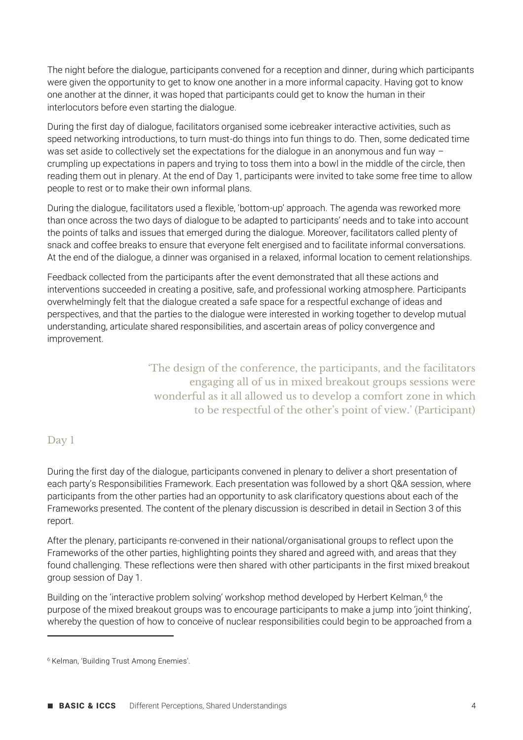The night before the dialogue, participants convened for a reception and dinner, during which participants were given the opportunity to get to know one another in a more informal capacity. Having got to know one another at the dinner, it was hoped that participants could get to know the human in their interlocutors before even starting the dialogue.

During the first day of dialogue, facilitators organised some icebreaker interactive activities, such as speed networking introductions, to turn must-do things into fun things to do. Then, some dedicated time was set aside to collectively set the expectations for the dialogue in an anonymous and fun way crumpling up expectations in papers and trying to toss them into a bowl in the middle of the circle, then reading them out in plenary. At the end of Day 1, participants were invited to take some free time to allow people to rest or to make their own informal plans.

During the dialogue, facilitators used a flexible, 'bottom-up' approach. The agenda was reworked more than once across the two days of dialogue to be adapted to participants' needs and to take into account the points of talks and issues that emerged during the dialogue. Moreover, facilitators called plenty of snack and coffee breaks to ensure that everyone felt energised and to facilitate informal conversations. At the end of the dialogue, a dinner was organised in a relaxed, informal location to cement relationships.

Feedback collected from the participants after the event demonstrated that all these actions and interventions succeeded in creating a positive, safe, and professional working atmosphere. Participants overwhelmingly felt that the dialogue created a safe space for a respectful exchange of ideas and perspectives, and that the parties to the dialogue were interested in working together to develop mutual understanding, articulate shared responsibilities, and ascertain areas of policy convergence and improvement.

> 'The design of the conference, the participants, and the facilitators engaging all of us in mixed breakout groups sessions were wonderful as it all allowed us to develop a comfort zone in which to be respectful of the other's point of view.' (Participant)

#### Day 1

During the first day of the dialogue, participants convened in plenary to deliver a short presentation of each party's Responsibilities Framework. Each presentation was followed by a short Q&A session, where participants from the other parties had an opportunity to ask clarificatory questions about each of the Frameworks presented. The content of the plenary discussion is described in detail in Section 3 of this report.

After the plenary, participants re-convened in their national/organisational groups to reflect upon the Frameworks of the other parties, highlighting points they shared and agreed with, and areas that they found challenging. These reflections were then shared with other participants in the first mixed breakout group session of Day 1.

Building on the 'interactive problem solving' workshop method developed by Herbert Kelman,<sup>6</sup> the purpose of the mixed breakout groups was to encourage participants to make a jump into 'joint thinking', whereby the question of how to conceive of nuclear responsibilities could begin to be approached from a

<sup>6</sup> Kelman, 'Building Trust Among Enemies'.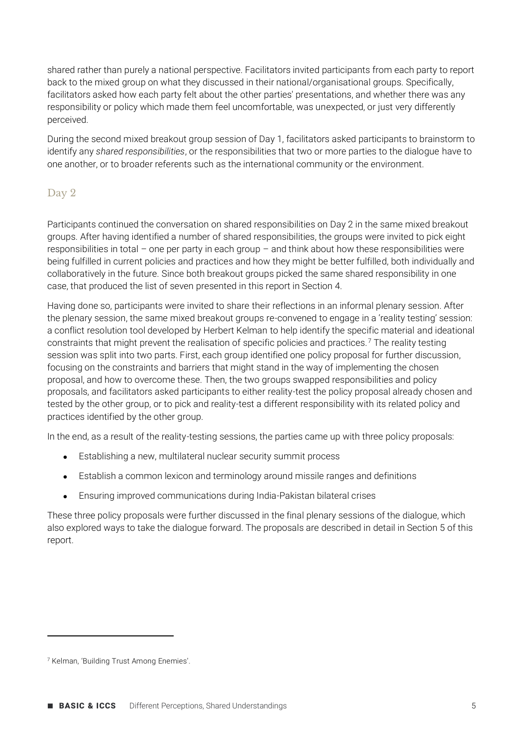shared rather than purely a national perspective. Facilitators invited participants from each party to report back to the mixed group on what they discussed in their national/organisational groups. Specifically, facilitators asked how each party felt about the other parties' presentations, and whether there was any responsibility or policy which made them feel uncomfortable, was unexpected, or just very differently perceived.

During the second mixed breakout group session of Day 1, facilitators asked participants to brainstorm to identify any *shared responsibilities*, or the responsibilities that two or more parties to the dialogue have to one another, or to broader referents such as the international community or the environment.

### Day 2

Participants continued the conversation on shared responsibilities on Day 2 in the same mixed breakout groups. After having identified a number of shared responsibilities, the groups were invited to pick eight responsibilities in total – one per party in each group – and think about how these responsibilities were being fulfilled in current policies and practices and how they might be better fulfilled, both individually and collaboratively in the future. Since both breakout groups picked the same shared responsibility in one case, that produced the list of seven presented in this report in Section 4.

Having done so, participants were invited to share their reflections in an informal plenary session. After the plenary session, the same mixed breakout groups re-convened to engage in a 'reality testing' session: a conflict resolution tool developed by Herbert Kelman to help identify the specific material and ideational constraints that might prevent the realisation of specific policies and practices.<sup>7</sup> The reality testing session was split into two parts. First, each group identified one policy proposal for further discussion, focusing on the constraints and barriers that might stand in the way of implementing the chosen proposal, and how to overcome these. Then, the two groups swapped responsibilities and policy proposals, and facilitators asked participants to either reality-test the policy proposal already chosen and tested by the other group, or to pick and reality-test a different responsibility with its related policy and practices identified by the other group.

In the end, as a result of the reality-testing sessions, the parties came up with three policy proposals:

- Establishing a new, multilateral nuclear security summit process
- Establish a common lexicon and terminology around missile ranges and definitions
- Ensuring improved communications during India-Pakistan bilateral crises

These three policy proposals were further discussed in the final plenary sessions of the dialogue, which also explored ways to take the dialogue forward. The proposals are described in detail in Section 5 of this report.

<sup>7</sup> Kelman, 'Building Trust Among Enemies'.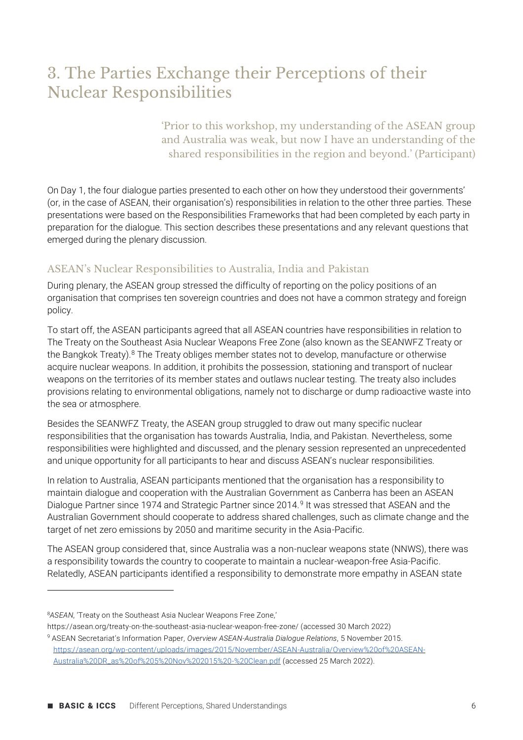### 3. The Parties Exchange their Perceptions of their Nuclear Responsibilities

'Prior to this workshop, my understanding of the ASEAN group and Australia was weak, but now I have an understanding of the shared responsibilities in the region and beyond.' (Participant)

On Day 1, the four dialogue parties presented to each other on how they understood their governments' (or, in the case of ASEAN, their organisation's) responsibilities in relation to the other three parties. These presentations were based on the Responsibilities Frameworks that had been completed by each party in preparation for the dialogue. This section describes these presentations and any relevant questions that emerged during the plenary discussion.

#### ASEAN's Nuclear Responsibilities to Australia, India and Pakistan

During plenary, the ASEAN group stressed the difficulty of reporting on the policy positions of an organisation that comprises ten sovereign countries and does not have a common strategy and foreign policy.

To start off, the ASEAN participants agreed that all ASEAN countries have responsibilities in relation to The Treaty on the Southeast Asia Nuclear Weapons Free Zone (also known as the SEANWFZ Treaty or the Bangkok Treaty).<sup>8</sup> The Treaty obliges member states not to develop, manufacture or otherwise acquire nuclear weapons. In addition, it prohibits the possession, stationing and transport of nuclear weapons on the territories of its member states and outlaws nuclear testing. The treaty also includes provisions relating to environmental obligations, namely not to discharge or dump radioactive waste into the sea or atmosphere.

Besides the SEANWFZ Treaty, the ASEAN group struggled to draw out many specific nuclear responsibilities that the organisation has towards Australia, India, and Pakistan. Nevertheless, some responsibilities were highlighted and discussed, and the plenary session represented an unprecedented and unique opportunity for all participants to hear and discuss ASEAN's nuclear responsibilities.

In relation to Australia, ASEAN participants mentioned that the organisation has a responsibility to maintain dialogue and cooperation with the Australian Government as Canberra has been an ASEAN Dialogue Partner since 1974 and Strategic Partner since 2014.<sup>9</sup> It was stressed that ASEAN and the Australian Government should cooperate to address shared challenges, such as climate change and the target of net zero emissions by 2050 and maritime security in the Asia-Pacific.

The ASEAN group considered that, since Australia was a non-nuclear weapons state (NNWS), there was a responsibility towards the country to cooperate to maintain a nuclear-weapon-free Asia-Pacific. Relatedly, ASEAN participants identified a responsibility to demonstrate more empathy in ASEAN state

<sup>8</sup>*ASEAN*, 'Treaty on the Southeast Asia Nuclear Weapons Free Zone,'

https://asean.org/treaty-on-the-southeast-asia-nuclear-weapon-free-zone/ (accessed 30 March 2022)

<sup>9</sup> ASEAN Secretariat's Information Paper, *Overview ASEAN-Australia Dialogue Relations*, 5 November 2015. [https://asean.org/wp-content/uploads/images/2015/November/ASEAN-Australia/Overview%20of%20ASEAN-](https://asean.org/wp-content/uploads/images/2015/November/ASEAN-Australia/Overview%20of%20ASEAN-Australia%20DR_as%20of%205%20Nov%202015%20-%20Clean.pdf)[Australia%20DR\\_as%20of%205%20Nov%202015%20-%20Clean.pdf](https://asean.org/wp-content/uploads/images/2015/November/ASEAN-Australia/Overview%20of%20ASEAN-Australia%20DR_as%20of%205%20Nov%202015%20-%20Clean.pdf) (accessed 25 March 2022).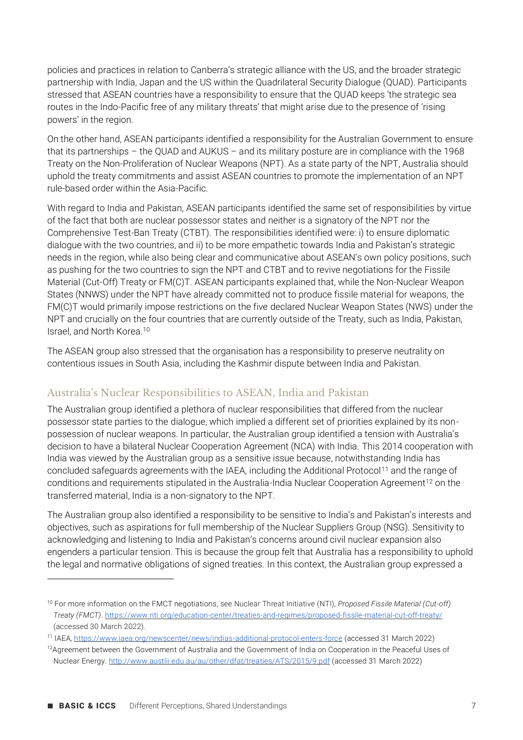policies and practices in relation to Canberra's strategic alliance with the US, and the broader strategic partnership with India, Japan and the US within the Quadrilateral Security Dialogue (QUAD). Participants stressed that ASEAN countries have a responsibility to ensure that the QUAD keeps 'the strategic sea routes in the Indo-Pacific free of any military threats' that might arise due to the presence of 'rising powers' in the region.

On the other hand, ASEAN participants identified a responsibility for the Australian Government to ensure that its partnerships – the QUAD and AUKUS – and its military posture are in compliance with the 1968 Treaty on the Non-Proliferation of Nuclear Weapons (NPT). As a state party of the NPT, Australia should uphold the treaty commitments and assist ASEAN countries to promote the implementation of an NPT rule-based order within the Asia-Pacific.

With regard to India and Pakistan, ASEAN participants identified the same set of responsibilities by virtue of the fact that both are nuclear possessor states and neither is a signatory of the NPT nor the Comprehensive Test-Ban Treaty (CTBT). The responsibilities identified were: i) to ensure diplomatic dialogue with the two countries, and ii) to be more empathetic towards India and Pakistan's strategic needs in the region, while also being clear and communicative about ASEAN's own policy positions, such as pushing for the two countries to sign the NPT and CTBT and to revive negotiations for the Fissile Material (Cut-Off) Treaty or FM(C)T. ASEAN participants explained that, while the Non-Nuclear Weapon States (NNWS) under the NPT have already committed not to produce fissile material for weapons, the FM(C)T would primarily impose restrictions on the five declared Nuclear Weapon States (NWS) under the NPT and crucially on the four countries that are currently outside of the Treaty, such as India, Pakistan, Israel, and North Korea.<sup>10</sup>

The ASEAN group also stressed that the organisation has a responsibility to preserve neutrality on contentious issues in South Asia, including the Kashmir dispute between India and Pakistan.

#### Australia's Nuclear Responsibilities to ASEAN, India and Pakistan

The Australian group identified a plethora of nuclear responsibilities that differed from the nuclear possessor state parties to the dialogue, which implied a different set of priorities explained by its nonpossession of nuclear weapons. In particular, the Australian group identified a tension with Australia's decision to have a bilateral Nuclear Cooperation Agreement (NCA) with India. This 2014 cooperation with India was viewed by the Australian group as a sensitive issue because, notwithstanding India has concluded safeguards agreements with the IAEA, including the Additional Protocol<sup>11</sup> and the range of conditions and requirements stipulated in the Australia-India Nuclear Cooperation Agreement<sup>12</sup> on the transferred material, India is a non-signatory to the NPT.

The Australian group also identified a responsibility to be sensitive to India's and Pakistan's interests and objectives, such as aspirations for full membership of the Nuclear Suppliers Group (NSG). Sensitivity to acknowledging and listening to India and Pakistan's concerns around civil nuclear expansion also engenders a particular tension. This is because the group felt that Australia has a responsibility to uphold the legal and normative obligations of signed treaties. In this context, the Australian group expressed a

<sup>10</sup> For more information on the FMCT negotiations, see Nuclear Threat Initiative (NTI), *Proposed Fissile Material (Cut-off) Treaty (FMCT)*[. https://www.nti.org/education-center/treaties-and-regimes/proposed-fissile-material-cut-off-treaty/](https://www.nti.org/education-center/treaties-and-regimes/proposed-fissile-material-cut-off-treaty/) (accessed 30 March 2022).

<sup>11</sup> IAEA,<https://www.iaea.org/newscenter/news/indias-additional-protocol-enters-force> (accessed 31 March 2022)

<sup>&</sup>lt;sup>12</sup>Agreement between the Government of Australia and the Government of India on Cooperation in the Peaceful Uses of Nuclear Energy.<http://www.austlii.edu.au/au/other/dfat/treaties/ATS/2015/9.pdf> (accessed 31 March 2022)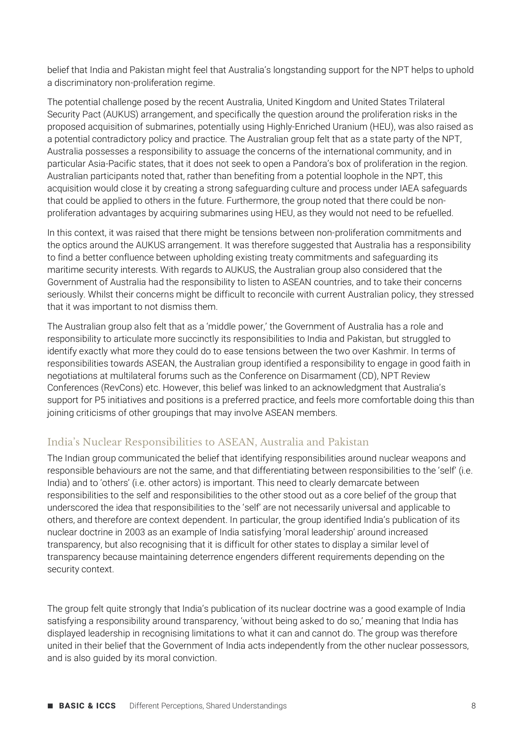belief that India and Pakistan might feel that Australia's longstanding support for the NPT helps to uphold a discriminatory non-proliferation regime.

The potential challenge posed by the recent Australia, United Kingdom and United States Trilateral Security Pact (AUKUS) arrangement, and specifically the question around the proliferation risks in the proposed acquisition of submarines, potentially using Highly-Enriched Uranium (HEU), was also raised as a potential contradictory policy and practice. The Australian group felt that as a state party of the NPT, Australia possesses a responsibility to assuage the concerns of the international community, and in particular Asia-Pacific states, that it does not seek to open a Pandora's box of proliferation in the region. Australian participants noted that, rather than benefiting from a potential loophole in the NPT, this acquisition would close it by creating a strong safeguarding culture and process under IAEA safeguards that could be applied to others in the future. Furthermore, the group noted that there could be nonproliferation advantages by acquiring submarines using HEU, as they would not need to be refuelled.

In this context, it was raised that there might be tensions between non-proliferation commitments and the optics around the AUKUS arrangement. It was therefore suggested that Australia has a responsibility to find a better confluence between upholding existing treaty commitments and safeguarding its maritime security interests. With regards to AUKUS, the Australian group also considered that the Government of Australia had the responsibility to listen to ASEAN countries, and to take their concerns seriously. Whilst their concerns might be difficult to reconcile with current Australian policy, they stressed that it was important to not dismiss them.

The Australian group also felt that as a 'middle power,' the Government of Australia has a role and responsibility to articulate more succinctly its responsibilities to India and Pakistan, but struggled to identify exactly what more they could do to ease tensions between the two over Kashmir. In terms of responsibilities towards ASEAN, the Australian group identified a responsibility to engage in good faith in negotiations at multilateral forums such as the Conference on Disarmament (CD), NPT Review Conferences (RevCons) etc. However, this belief was linked to an acknowledgment that Australia's support for P5 initiatives and positions is a preferred practice, and feels more comfortable doing this than joining criticisms of other groupings that may involve ASEAN members.

### India's Nuclear Responsibilities to ASEAN, Australia and Pakistan

The Indian group communicated the belief that identifying responsibilities around nuclear weapons and responsible behaviours are not the same, and that differentiating between responsibilities to the 'self' (i.e. India) and to 'others' (i.e. other actors) is important. This need to clearly demarcate between responsibilities to the self and responsibilities to the other stood out as a core belief of the group that underscored the idea that responsibilities to the 'self' are not necessarily universal and applicable to others, and therefore are context dependent. In particular, the group identified India's publication of its nuclear doctrine in 2003 as an example of India satisfying 'moral leadership' around increased transparency, but also recognising that it is difficult for other states to display a similar level of transparency because maintaining deterrence engenders different requirements depending on the security context.

The group felt quite strongly that India's publication of its nuclear doctrine was a good example of India satisfying a responsibility around transparency, 'without being asked to do so,' meaning that India has displayed leadership in recognising limitations to what it can and cannot do. The group was therefore united in their belief that the Government of India acts independently from the other nuclear possessors, and is also guided by its moral conviction.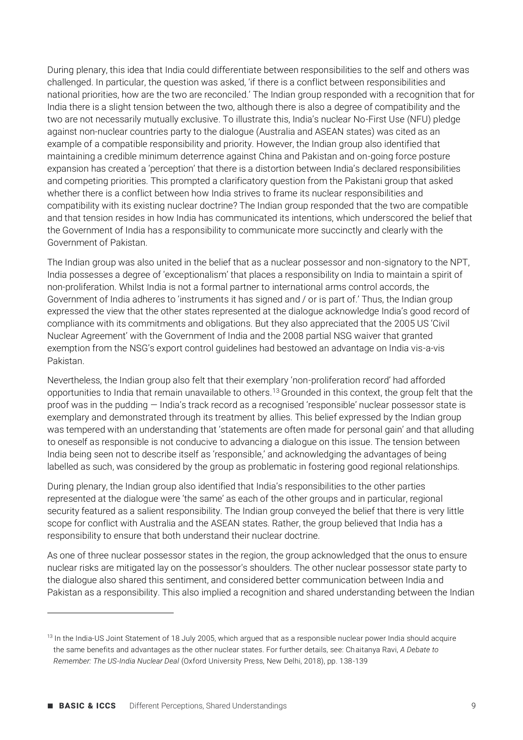During plenary, this idea that India could differentiate between responsibilities to the self and others was challenged. In particular, the question was asked, 'if there is a conflict between responsibilities and national priorities, how are the two are reconciled.' The Indian group responded with a recognition that for India there is a slight tension between the two, although there is also a degree of compatibility and the two are not necessarily mutually exclusive. To illustrate this, India's nuclear No-First Use (NFU) pledge against non-nuclear countries party to the dialogue (Australia and ASEAN states) was cited as an example of a compatible responsibility and priority. However, the Indian group also identified that maintaining a credible minimum deterrence against China and Pakistan and on-going force posture expansion has created a 'perception' that there is a distortion between India's declared responsibilities and competing priorities. This prompted a clarificatory question from the Pakistani group that asked whether there is a conflict between how India strives to frame its nuclear responsibilities and compatibility with its existing nuclear doctrine? The Indian group responded that the two are compatible and that tension resides in how India has communicated its intentions, which underscored the belief that the Government of India has a responsibility to communicate more succinctly and clearly with the Government of Pakistan.

The Indian group was also united in the belief that as a nuclear possessor and non-signatory to the NPT, India possesses a degree of 'exceptionalism' that places a responsibility on India to maintain a spirit of non-proliferation. Whilst India is not a formal partner to international arms control accords, the Government of India adheres to 'instruments it has signed and / or is part of.' Thus, the Indian group expressed the view that the other states represented at the dialogue acknowledge India's good record of compliance with its commitments and obligations. But they also appreciated that the 2005 US 'Civil Nuclear Agreement' with the Government of India and the 2008 partial NSG waiver that granted exemption from the NSG's export control guidelines had bestowed an advantage on India vis-a-vis Pakistan.

Nevertheless, the Indian group also felt that their exemplary 'non-proliferation record' had afforded opportunities to India that remain unavailable to others.<sup>13</sup> Grounded in this context, the group felt that the proof was in the pudding — India's track record as a recognised 'responsible' nuclear possessor state is exemplary and demonstrated through its treatment by allies. This belief expressed by the Indian group was tempered with an understanding that 'statements are often made for personal gain' and that alluding to oneself as responsible is not conducive to advancing a dialogue on this issue. The tension between India being seen not to describe itself as 'responsible,' and acknowledging the advantages of being labelled as such, was considered by the group as problematic in fostering good regional relationships.

During plenary, the Indian group also identified that India's responsibilities to the other parties represented at the dialogue were 'the same' as each of the other groups and in particular, regional security featured as a salient responsibility. The Indian group conveyed the belief that there is very little scope for conflict with Australia and the ASEAN states. Rather, the group believed that India has a responsibility to ensure that both understand their nuclear doctrine.

As one of three nuclear possessor states in the region, the group acknowledged that the onus to ensure nuclear risks are mitigated lay on the possessor's shoulders. The other nuclear possessor state party to the dialogue also shared this sentiment, and considered better communication between India and Pakistan as a responsibility. This also implied a recognition and shared understanding between the Indian

<sup>&</sup>lt;sup>13</sup> In the India-US Joint Statement of 18 July 2005, which argued that as a responsible nuclear power India should acquire the same benefits and advantages as the other nuclear states. For further details, see: Chaitanya Ravi, *A Debate to Remember: The US-India Nuclear Deal* (Oxford University Press, New Delhi, 2018), pp. 138-139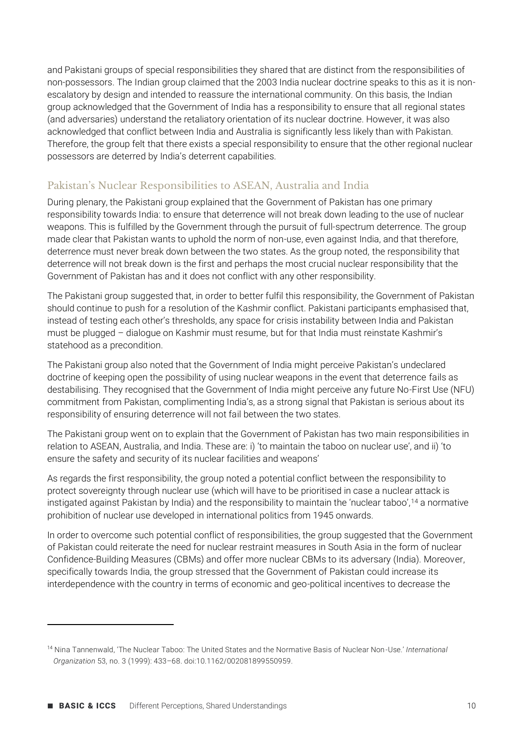and Pakistani groups of special responsibilities they shared that are distinct from the responsibilities of non-possessors. The Indian group claimed that the 2003 India nuclear doctrine speaks to this as it is nonescalatory by design and intended to reassure the international community. On this basis, the Indian group acknowledged that the Government of India has a responsibility to ensure that all regional states (and adversaries) understand the retaliatory orientation of its nuclear doctrine. However, it was also acknowledged that conflict between India and Australia is significantly less likely than with Pakistan. Therefore, the group felt that there exists a special responsibility to ensure that the other regional nuclear possessors are deterred by India's deterrent capabilities.

### Pakistan's Nuclear Responsibilities to ASEAN, Australia and India

During plenary, the Pakistani group explained that the Government of Pakistan has one primary responsibility towards India: to ensure that deterrence will not break down leading to the use of nuclear weapons. This is fulfilled by the Government through the pursuit of full-spectrum deterrence. The group made clear that Pakistan wants to uphold the norm of non-use, even against India, and that therefore, deterrence must never break down between the two states. As the group noted, the responsibility that deterrence will not break down is the first and perhaps the most crucial nuclear responsibility that the Government of Pakistan has and it does not conflict with any other responsibility.

The Pakistani group suggested that, in order to better fulfil this responsibility, the Government of Pakistan should continue to push for a resolution of the Kashmir conflict. Pakistani participants emphasised that, instead of testing each other's thresholds, any space for crisis instability between India and Pakistan must be plugged – dialogue on Kashmir must resume, but for that India must reinstate Kashmir's statehood as a precondition.

The Pakistani group also noted that the Government of India might perceive Pakistan's undeclared doctrine of keeping open the possibility of using nuclear weapons in the event that deterrence fails as destabilising. They recognised that the Government of India might perceive any future No-First Use (NFU) commitment from Pakistan, complimenting India's, as a strong signal that Pakistan is serious about its responsibility of ensuring deterrence will not fail between the two states.

The Pakistani group went on to explain that the Government of Pakistan has two main responsibilities in relation to ASEAN, Australia, and India. These are: i) 'to maintain the taboo on nuclear use', and ii) 'to ensure the safety and security of its nuclear facilities and weapons'

As regards the first responsibility, the group noted a potential conflict between the responsibility to protect sovereignty through nuclear use (which will have to be prioritised in case a nuclear attack is instigated against Pakistan by India) and the responsibility to maintain the 'nuclear taboo',<sup>14</sup> a normative prohibition of nuclear use developed in international politics from 1945 onwards.

In order to overcome such potential conflict of responsibilities, the group suggested that the Government of Pakistan could reiterate the need for nuclear restraint measures in South Asia in the form of nuclear Confidence-Building Measures (CBMs) and offer more nuclear CBMs to its adversary (India). Moreover, specifically towards India, the group stressed that the Government of Pakistan could increase its interdependence with the country in terms of economic and geo-political incentives to decrease the

<sup>14</sup> Nina Tannenwald, 'The Nuclear Taboo: The United States and the Normative Basis of Nuclear Non-Use.' *International Organization* 53, no. 3 (1999): 433–68. doi:10.1162/002081899550959.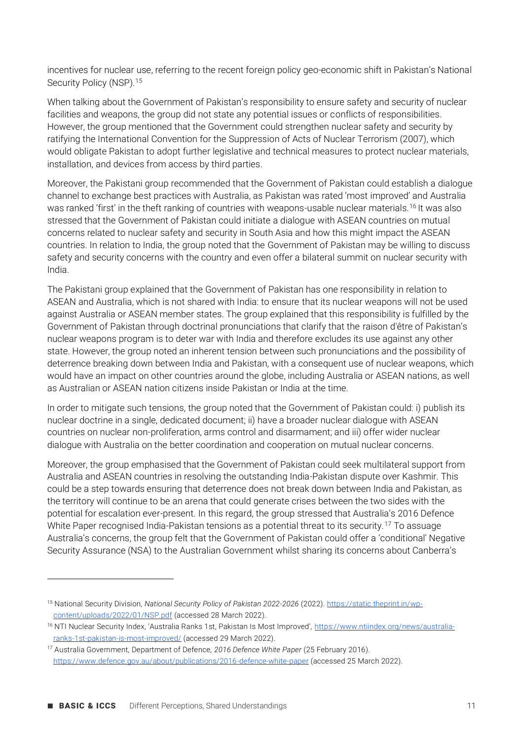incentives for nuclear use, referring to the recent foreign policy geo-economic shift in Pakistan's National Security Policy (NSP).<sup>15</sup>

When talking about the Government of Pakistan's responsibility to ensure safety and security of nuclear facilities and weapons, the group did not state any potential issues or conflicts of responsibilities. However, the group mentioned that the Government could strengthen nuclear safety and security by ratifying the International Convention for the Suppression of Acts of Nuclear Terrorism (2007), which would obligate Pakistan to adopt further legislative and technical measures to protect nuclear materials, installation, and devices from access by third parties.

Moreover, the Pakistani group recommended that the Government of Pakistan could establish a dialogue channel to exchange best practices with Australia, as Pakistan was rated 'most improved' and Australia was ranked 'first' in the theft ranking of countries with weapons-usable nuclear materials.<sup>16</sup> It was also stressed that the Government of Pakistan could initiate a dialogue with ASEAN countries on mutual concerns related to nuclear safety and security in South Asia and how this might impact the ASEAN countries. In relation to India, the group noted that the Government of Pakistan may be willing to discuss safety and security concerns with the country and even offer a bilateral summit on nuclear security with India.

The Pakistani group explained that the Government of Pakistan has one responsibility in relation to ASEAN and Australia, which is not shared with India: to ensure that its nuclear weapons will not be used against Australia or ASEAN member states. The group explained that this responsibility is fulfilled by the Government of Pakistan through doctrinal pronunciations that clarify that the raison d'être of Pakistan's nuclear weapons program is to deter war with India and therefore excludes its use against any other state. However, the group noted an inherent tension between such pronunciations and the possibility of deterrence breaking down between India and Pakistan, with a consequent use of nuclear weapons, which would have an impact on other countries around the globe, including Australia or ASEAN nations, as well as Australian or ASEAN nation citizens inside Pakistan or India at the time.

In order to mitigate such tensions, the group noted that the Government of Pakistan could: i) publish its nuclear doctrine in a single, dedicated document; ii) have a broader nuclear dialogue with ASEAN countries on nuclear non-proliferation, arms control and disarmament; and iii) offer wider nuclear dialogue with Australia on the better coordination and cooperation on mutual nuclear concerns.

Moreover, the group emphasised that the Government of Pakistan could seek multilateral support from Australia and ASEAN countries in resolving the outstanding India-Pakistan dispute over Kashmir. This could be a step towards ensuring that deterrence does not break down between India and Pakistan, as the territory will continue to be an arena that could generate crises between the two sides with the potential for escalation ever-present. In this regard, the group stressed that Australia's 2016 Defence White Paper recognised India-Pakistan tensions as a potential threat to its security.<sup>17</sup> To assuage Australia's concerns, the group felt that the Government of Pakistan could offer a 'conditional' Negative Security Assurance (NSA) to the Australian Government whilst sharing its concerns about Canberra's

<sup>15</sup> National Security Division, *National Security Policy of Pakistan 2022-2026* (2022). [https://static.theprint.in/wp](https://static.theprint.in/wp-content/uploads/2022/01/NSP.pdf)[content/uploads/2022/01/NSP.pdf](https://static.theprint.in/wp-content/uploads/2022/01/NSP.pdf) (accessed 28 March 2022).

<sup>16</sup> NTI Nuclear Security Index, 'Australia Ranks 1st, Pakistan Is Most Improved', [https://www.ntiindex.org/news/australia](https://www.ntiindex.org/news/australia-ranks-1st-pakistan-is-most-improved/)[ranks-1st-pakistan-is-most-improved/](https://www.ntiindex.org/news/australia-ranks-1st-pakistan-is-most-improved/) (accessed 29 March 2022).

<sup>17</sup> Australia Government, Department of Defence, *2016 Defence White Paper* (25 February 2016). <https://www.defence.gov.au/about/publications/2016-defence-white-paper> (accessed 25 March 2022).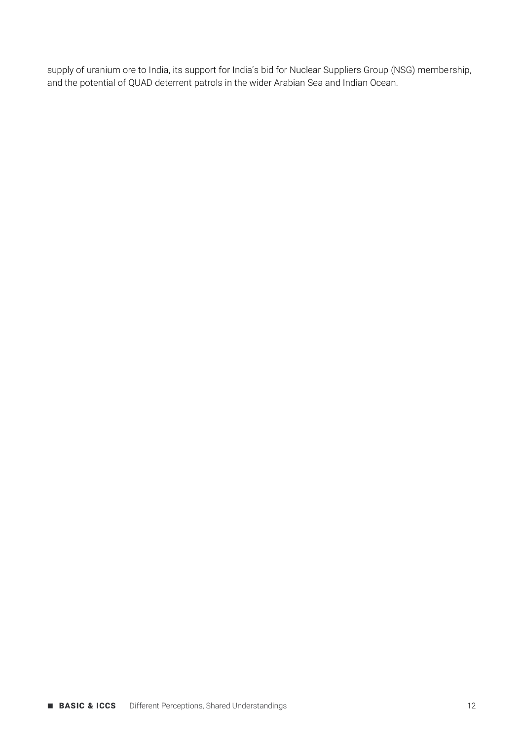supply of uranium ore to India, its support for India's bid for Nuclear Suppliers Group (NSG) membership, and the potential of QUAD deterrent patrols in the wider Arabian Sea and Indian Ocean.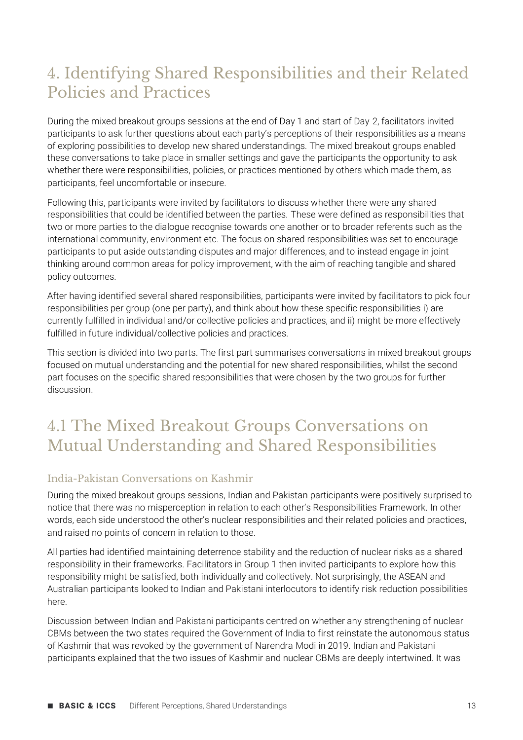### 4. Identifying Shared Responsibilities and their Related Policies and Practices

During the mixed breakout groups sessions at the end of Day 1 and start of Day 2, facilitators invited participants to ask further questions about each party's perceptions of their responsibilities as a means of exploring possibilities to develop new shared understandings. The mixed breakout groups enabled these conversations to take place in smaller settings and gave the participants the opportunity to ask whether there were responsibilities, policies, or practices mentioned by others which made them, as participants, feel uncomfortable or insecure.

Following this, participants were invited by facilitators to discuss whether there were any shared responsibilities that could be identified between the parties. These were defined as responsibilities that two or more parties to the dialogue recognise towards one another or to broader referents such as the international community, environment etc. The focus on shared responsibilities was set to encourage participants to put aside outstanding disputes and major differences, and to instead engage in joint thinking around common areas for policy improvement, with the aim of reaching tangible and shared policy outcomes.

After having identified several shared responsibilities, participants were invited by facilitators to pick four responsibilities per group (one per party), and think about how these specific responsibilities i) are currently fulfilled in individual and/or collective policies and practices, and ii) might be more effectively fulfilled in future individual/collective policies and practices.

This section is divided into two parts. The first part summarises conversations in mixed breakout groups focused on mutual understanding and the potential for new shared responsibilities, whilst the second part focuses on the specific shared responsibilities that were chosen by the two groups for further discussion.

### 4.1 The Mixed Breakout Groups Conversations on Mutual Understanding and Shared Responsibilities

### India-Pakistan Conversations on Kashmir

During the mixed breakout groups sessions, Indian and Pakistan participants were positively surprised to notice that there was no misperception in relation to each other's Responsibilities Framework. In other words, each side understood the other's nuclear responsibilities and their related policies and practices, and raised no points of concern in relation to those.

All parties had identified maintaining deterrence stability and the reduction of nuclear risks as a shared responsibility in their frameworks. Facilitators in Group 1 then invited participants to explore how this responsibility might be satisfied, both individually and collectively. Not surprisingly, the ASEAN and Australian participants looked to Indian and Pakistani interlocutors to identify risk reduction possibilities here.

Discussion between Indian and Pakistani participants centred on whether any strengthening of nuclear CBMs between the two states required the Government of India to first reinstate the autonomous status of Kashmir that was revoked by the government of Narendra Modi in 2019. Indian and Pakistani participants explained that the two issues of Kashmir and nuclear CBMs are deeply intertwined. It was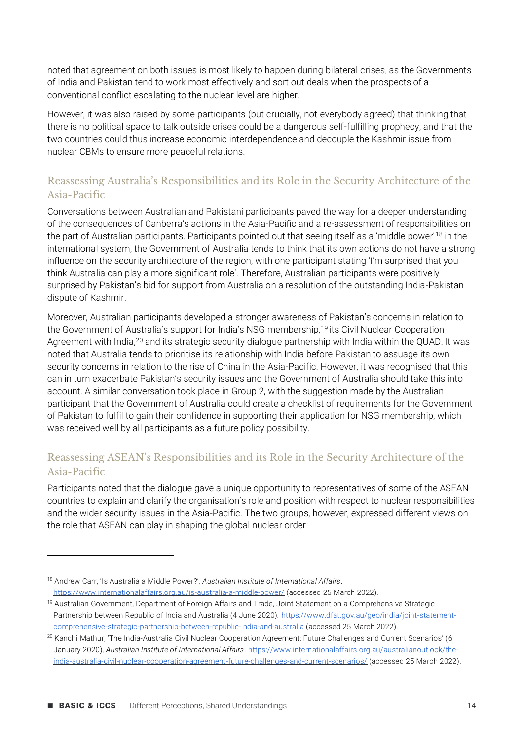noted that agreement on both issues is most likely to happen during bilateral crises, as the Governments of India and Pakistan tend to work most effectively and sort out deals when the prospects of a conventional conflict escalating to the nuclear level are higher.

However, it was also raised by some participants (but crucially, not everybody agreed) that thinking that there is no political space to talk outside crises could be a dangerous self-fulfilling prophecy, and that the two countries could thus increase economic interdependence and decouple the Kashmir issue from nuclear CBMs to ensure more peaceful relations.

### Reassessing Australia's Responsibilities and its Role in the Security Architecture of the Asia-Pacific

Conversations between Australian and Pakistani participants paved the way for a deeper understanding of the consequences of Canberra's actions in the Asia-Pacific and a re-assessment of responsibilities on the part of Australian participants. Participants pointed out that seeing itself as a 'middle power'<sup>18</sup> in the international system, the Government of Australia tends to think that its own actions do not have a strong influence on the security architecture of the region, with one participant stating 'I'm surprised that you think Australia can play a more significant role'. Therefore, Australian participants were positively surprised by Pakistan's bid for support from Australia on a resolution of the outstanding India-Pakistan dispute of Kashmir.

Moreover, Australian participants developed a stronger awareness of Pakistan's concerns in relation to the Government of Australia's support for India's NSG membership,<sup>19</sup> its Civil Nuclear Cooperation Agreement with India,<sup>20</sup> and its strategic security dialogue partnership with India within the QUAD. It was noted that Australia tends to prioritise its relationship with India before Pakistan to assuage its own security concerns in relation to the rise of China in the Asia-Pacific. However, it was recognised that this can in turn exacerbate Pakistan's security issues and the Government of Australia should take this into account. A similar conversation took place in Group 2, with the suggestion made by the Australian participant that the Government of Australia could create a checklist of requirements for the Government of Pakistan to fulfil to gain their confidence in supporting their application for NSG membership, which was received well by all participants as a future policy possibility.

### Reassessing ASEAN's Responsibilities and its Role in the Security Architecture of the Asia-Pacific

Participants noted that the dialogue gave a unique opportunity to representatives of some of the ASEAN countries to explain and clarify the organisation's role and position with respect to nuclear responsibilities and the wider security issues in the Asia-Pacific. The two groups, however, expressed different views on the role that ASEAN can play in shaping the global nuclear order

<sup>18</sup> Andrew Carr, 'Is Australia a Middle Power?', *Australian Institute of International Affairs*. <https://www.internationalaffairs.org.au/is-australia-a-middle-power/> (accessed 25 March 2022).

<sup>&</sup>lt;sup>19</sup> Australian Government, Department of Foreign Affairs and Trade, Joint Statement on a Comprehensive Strategic Partnership between Republic of India and Australia (4 June 2020). [https://www.dfat.gov.au/geo/india/joint-statement](https://www.dfat.gov.au/geo/india/joint-statement-comprehensive-strategic-partnership-between-republic-india-and-australia)[comprehensive-strategic-partnership-between-republic-india-and-australia](https://www.dfat.gov.au/geo/india/joint-statement-comprehensive-strategic-partnership-between-republic-india-and-australia) (accessed 25 March 2022).

<sup>&</sup>lt;sup>20</sup> Kanchi Mathur, 'The India-Australia Civil Nuclear Cooperation Agreement: Future Challenges and Current Scenarios' (6 January 2020), *Australian Institute of International Affairs*[. https://www.internationalaffairs.org.au/australianoutlook/the](https://www.internationalaffairs.org.au/australianoutlook/the-india-australia-civil-nuclear-cooperation-agreement-future-challenges-and-current-scenarios/)[india-australia-civil-nuclear-cooperation-agreement-future-challenges-and-current-scenarios/](https://www.internationalaffairs.org.au/australianoutlook/the-india-australia-civil-nuclear-cooperation-agreement-future-challenges-and-current-scenarios/) (accessed 25 March 2022).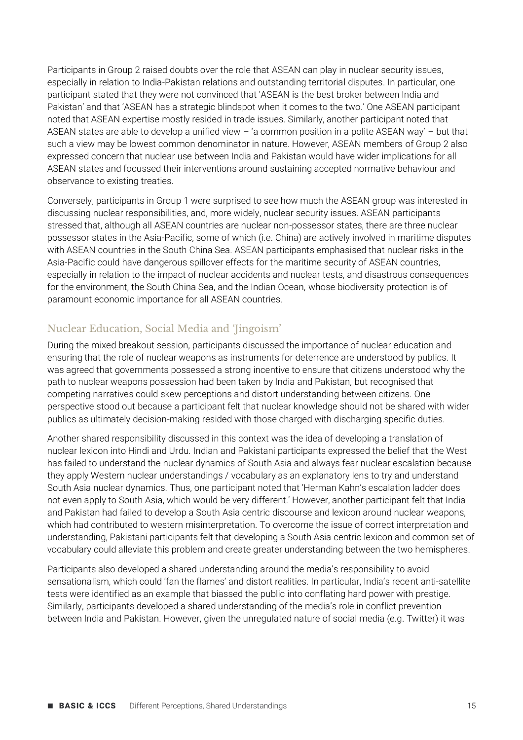Participants in Group 2 raised doubts over the role that ASEAN can play in nuclear security issues, especially in relation to India-Pakistan relations and outstanding territorial disputes. In particular, one participant stated that they were not convinced that 'ASEAN is the best broker between India and Pakistan' and that 'ASEAN has a strategic blindspot when it comes to the two.' One ASEAN participant noted that ASEAN expertise mostly resided in trade issues. Similarly, another participant noted that ASEAN states are able to develop a unified view – 'a common position in a polite ASEAN way' – but that such a view may be lowest common denominator in nature. However, ASEAN members of Group 2 also expressed concern that nuclear use between India and Pakistan would have wider implications for all ASEAN states and focussed their interventions around sustaining accepted normative behaviour and observance to existing treaties.

Conversely, participants in Group 1 were surprised to see how much the ASEAN group was interested in discussing nuclear responsibilities, and, more widely, nuclear security issues. ASEAN participants stressed that, although all ASEAN countries are nuclear non-possessor states, there are three nuclear possessor states in the Asia-Pacific, some of which (i.e. China) are actively involved in maritime disputes with ASEAN countries in the South China Sea. ASEAN participants emphasised that nuclear risks in the Asia-Pacific could have dangerous spillover effects for the maritime security of ASEAN countries, especially in relation to the impact of nuclear accidents and nuclear tests, and disastrous consequences for the environment, the South China Sea, and the Indian Ocean, whose biodiversity protection is of paramount economic importance for all ASEAN countries.

### Nuclear Education, Social Media and 'Jingoism'

During the mixed breakout session, participants discussed the importance of nuclear education and ensuring that the role of nuclear weapons as instruments for deterrence are understood by publics. It was agreed that governments possessed a strong incentive to ensure that citizens understood why the path to nuclear weapons possession had been taken by India and Pakistan, but recognised that competing narratives could skew perceptions and distort understanding between citizens. One perspective stood out because a participant felt that nuclear knowledge should not be shared with wider publics as ultimately decision-making resided with those charged with discharging specific duties.

Another shared responsibility discussed in this context was the idea of developing a translation of nuclear lexicon into Hindi and Urdu. Indian and Pakistani participants expressed the belief that the West has failed to understand the nuclear dynamics of South Asia and always fear nuclear escalation because they apply Western nuclear understandings / vocabulary as an explanatory lens to try and understand South Asia nuclear dynamics. Thus, one participant noted that 'Herman Kahn's escalation ladder does not even apply to South Asia, which would be very different.' However, another participant felt that India and Pakistan had failed to develop a South Asia centric discourse and lexicon around nuclear weapons, which had contributed to western misinterpretation. To overcome the issue of correct interpretation and understanding, Pakistani participants felt that developing a South Asia centric lexicon and common set of vocabulary could alleviate this problem and create greater understanding between the two hemispheres.

Participants also developed a shared understanding around the media's responsibility to avoid sensationalism, which could 'fan the flames' and distort realities. In particular, India's recent anti-satellite tests were identified as an example that biassed the public into conflating hard power with prestige. Similarly, participants developed a shared understanding of the media's role in conflict prevention between India and Pakistan. However, given the unregulated nature of social media (e.g. Twitter) it was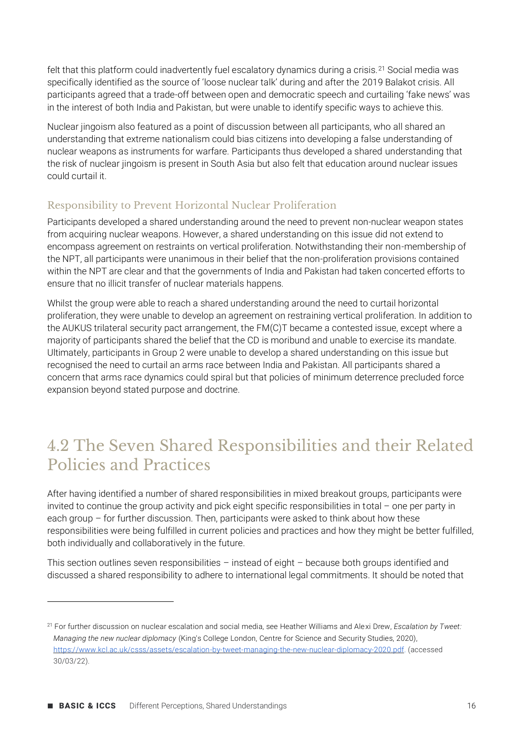felt that this platform could inadvertently fuel escalatory dynamics during a crisis.<sup>21</sup> Social media was specifically identified as the source of 'loose nuclear talk' during and after the 2019 Balakot crisis. All participants agreed that a trade-off between open and democratic speech and curtailing 'fake news' was in the interest of both India and Pakistan, but were unable to identify specific ways to achieve this.

Nuclear jingoism also featured as a point of discussion between all participants, who all shared an understanding that extreme nationalism could bias citizens into developing a false understanding of nuclear weapons as instruments for warfare. Participants thus developed a shared understanding that the risk of nuclear jingoism is present in South Asia but also felt that education around nuclear issues could curtail it.

#### Responsibility to Prevent Horizontal Nuclear Proliferation

Participants developed a shared understanding around the need to prevent non-nuclear weapon states from acquiring nuclear weapons. However, a shared understanding on this issue did not extend to encompass agreement on restraints on vertical proliferation. Notwithstanding their non-membership of the NPT, all participants were unanimous in their belief that the non-proliferation provisions contained within the NPT are clear and that the governments of India and Pakistan had taken concerted efforts to ensure that no illicit transfer of nuclear materials happens.

Whilst the group were able to reach a shared understanding around the need to curtail horizontal proliferation, they were unable to develop an agreement on restraining vertical proliferation. In addition to the AUKUS trilateral security pact arrangement, the FM(C)T became a contested issue, except where a majority of participants shared the belief that the CD is moribund and unable to exercise its mandate. Ultimately, participants in Group 2 were unable to develop a shared understanding on this issue but recognised the need to curtail an arms race between India and Pakistan. All participants shared a concern that arms race dynamics could spiral but that policies of minimum deterrence precluded force expansion beyond stated purpose and doctrine.

### 4.2 The Seven Shared Responsibilities and their Related Policies and Practices

After having identified a number of shared responsibilities in mixed breakout groups, participants were invited to continue the group activity and pick eight specific responsibilities in total – one per party in each group – for further discussion. Then, participants were asked to think about how these responsibilities were being fulfilled in current policies and practices and how they might be better fulfilled, both individually and collaboratively in the future.

This section outlines seven responsibilities – instead of eight – because both groups identified and discussed a shared responsibility to adhere to international legal commitments. It should be noted that

<sup>21</sup> For further discussion on nuclear escalation and social media, see Heather Williams and Alexi Drew, *Escalation by Tweet: Managing the new nuclear diplomacy* (King's College London, Centre for Science and Security Studies, 2020), [https://www.kcl.ac.uk/csss/assets/escalation-by-tweet-managing-the-new-nuclear-diplomacy-2020.pdf. \(accessed](https://www.kcl.ac.uk/csss/assets/escalation-by-tweet-managing-the-new-nuclear-diplomacy-2020.pdf)  [30/03/22\).](https://www.kcl.ac.uk/csss/assets/escalation-by-tweet-managing-the-new-nuclear-diplomacy-2020.pdf)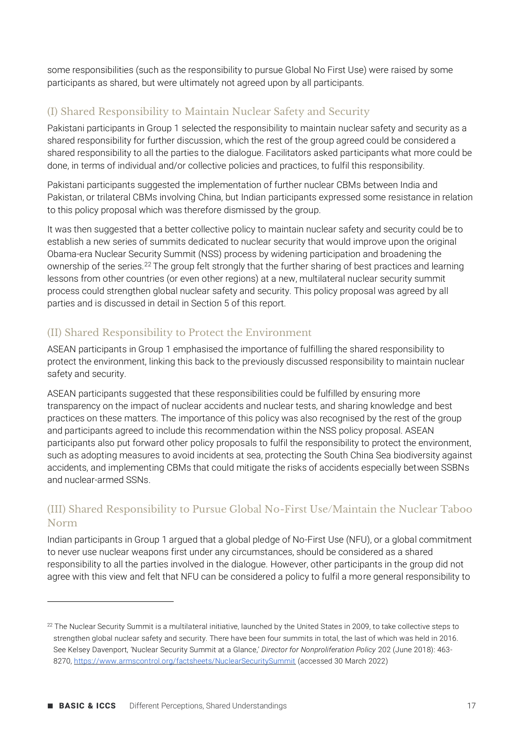some responsibilities (such as the responsibility to pursue Global No First Use) were raised by some participants as shared, but were ultimately not agreed upon by all participants.

### (I) Shared Responsibility to Maintain Nuclear Safety and Security

Pakistani participants in Group 1 selected the responsibility to maintain nuclear safety and security as a shared responsibility for further discussion, which the rest of the group agreed could be considered a shared responsibility to all the parties to the dialogue. Facilitators asked participants what more could be done, in terms of individual and/or collective policies and practices, to fulfil this responsibility.

Pakistani participants suggested the implementation of further nuclear CBMs between India and Pakistan, or trilateral CBMs involving China, but Indian participants expressed some resistance in relation to this policy proposal which was therefore dismissed by the group.

It was then suggested that a better collective policy to maintain nuclear safety and security could be to establish a new series of summits dedicated to nuclear security that would improve upon the original Obama-era Nuclear Security Summit (NSS) process by widening participation and broadening the ownership of the series.<sup>22</sup> The group felt strongly that the further sharing of best practices and learning lessons from other countries (or even other regions) at a new, multilateral nuclear security summit process could strengthen global nuclear safety and security. This policy proposal was agreed by all parties and is discussed in detail in Section 5 of this report.

### (II) Shared Responsibility to Protect the Environment

ASEAN participants in Group 1 emphasised the importance of fulfilling the shared responsibility to protect the environment, linking this back to the previously discussed responsibility to maintain nuclear safety and security.

ASEAN participants suggested that these responsibilities could be fulfilled by ensuring more transparency on the impact of nuclear accidents and nuclear tests, and sharing knowledge and best practices on these matters. The importance of this policy was also recognised by the rest of the group and participants agreed to include this recommendation within the NSS policy proposal. ASEAN participants also put forward other policy proposals to fulfil the responsibility to protect the environment, such as adopting measures to avoid incidents at sea, protecting the South China Sea biodiversity against accidents, and implementing CBMs that could mitigate the risks of accidents especially between SSBNs and nuclear-armed SSNs.

### (III) Shared Responsibility to Pursue Global No-First Use/Maintain the Nuclear Taboo Norm

Indian participants in Group 1 argued that a global pledge of No-First Use (NFU), or a global commitment to never use nuclear weapons first under any circumstances, should be considered as a shared responsibility to all the parties involved in the dialogue. However, other participants in the group did not agree with this view and felt that NFU can be considered a policy to fulfil a more general responsibility to

 $22$  The Nuclear Security Summit is a multilateral initiative, launched by the United States in 2009, to take collective steps to strengthen global nuclear safety and security. There have been four summits in total, the last of which was held in 2016. See Kelsey Davenport, 'Nuclear Security Summit at a Glance,' *Director for Nonproliferation Policy* 202 (June 2018): 463- 8270, <https://www.armscontrol.org/factsheets/NuclearSecuritySummit> (accessed 30 March 2022)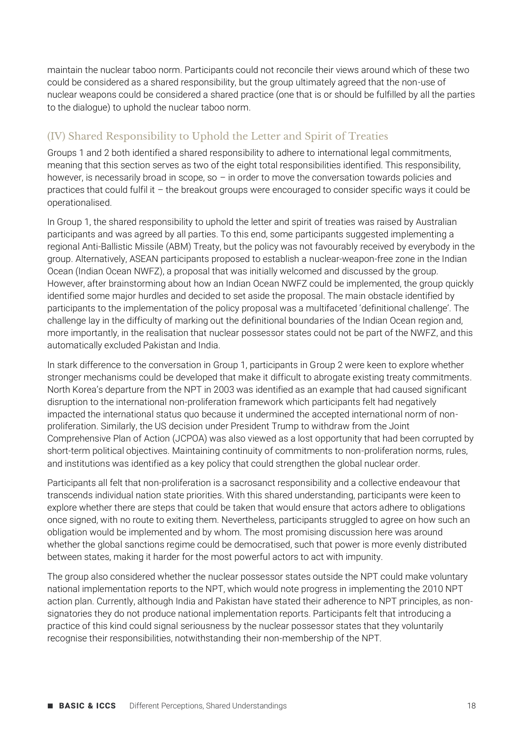maintain the nuclear taboo norm. Participants could not reconcile their views around which of these two could be considered as a shared responsibility, but the group ultimately agreed that the non-use of nuclear weapons could be considered a shared practice (one that is or should be fulfilled by all the parties to the dialogue) to uphold the nuclear taboo norm.

### (IV) Shared Responsibility to Uphold the Letter and Spirit of Treaties

Groups 1 and 2 both identified a shared responsibility to adhere to international legal commitments, meaning that this section serves as two of the eight total responsibilities identified. This responsibility, however, is necessarily broad in scope, so - in order to move the conversation towards policies and practices that could fulfil it – the breakout groups were encouraged to consider specific ways it could be operationalised.

In Group 1, the shared responsibility to uphold the letter and spirit of treaties was raised by Australian participants and was agreed by all parties. To this end, some participants suggested implementing a regional Anti-Ballistic Missile (ABM) Treaty, but the policy was not favourably received by everybody in the group. Alternatively, ASEAN participants proposed to establish a nuclear-weapon-free zone in the Indian Ocean (Indian Ocean NWFZ), a proposal that was initially welcomed and discussed by the group. However, after brainstorming about how an Indian Ocean NWFZ could be implemented, the group quickly identified some major hurdles and decided to set aside the proposal. The main obstacle identified by participants to the implementation of the policy proposal was a multifaceted 'definitional challenge'. The challenge lay in the difficulty of marking out the definitional boundaries of the Indian Ocean region and, more importantly, in the realisation that nuclear possessor states could not be part of the NWFZ, and this automatically excluded Pakistan and India.

In stark difference to the conversation in Group 1, participants in Group 2 were keen to explore whether stronger mechanisms could be developed that make it difficult to abrogate existing treaty commitments. North Korea's departure from the NPT in 2003 was identified as an example that had caused significant disruption to the international non-proliferation framework which participants felt had negatively impacted the international status quo because it undermined the accepted international norm of nonproliferation. Similarly, the US decision under President Trump to withdraw from the Joint Comprehensive Plan of Action (JCPOA) was also viewed as a lost opportunity that had been corrupted by short-term political objectives. Maintaining continuity of commitments to non-proliferation norms, rules, and institutions was identified as a key policy that could strengthen the global nuclear order.

Participants all felt that non-proliferation is a sacrosanct responsibility and a collective endeavour that transcends individual nation state priorities. With this shared understanding, participants were keen to explore whether there are steps that could be taken that would ensure that actors adhere to obligations once signed, with no route to exiting them. Nevertheless, participants struggled to agree on how such an obligation would be implemented and by whom. The most promising discussion here was around whether the global sanctions regime could be democratised, such that power is more evenly distributed between states, making it harder for the most powerful actors to act with impunity.

The group also considered whether the nuclear possessor states outside the NPT could make voluntary national implementation reports to the NPT, which would note progress in implementing the 2010 NPT action plan. Currently, although India and Pakistan have stated their adherence to NPT principles, as nonsignatories they do not produce national implementation reports. Participants felt that introducing a practice of this kind could signal seriousness by the nuclear possessor states that they voluntarily recognise their responsibilities, notwithstanding their non-membership of the NPT.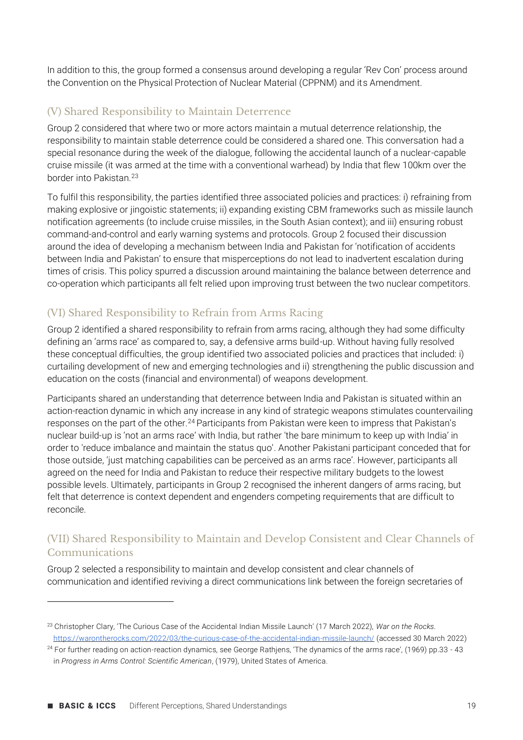In addition to this, the group formed a consensus around developing a regular 'Rev Con' process around the Convention on the Physical Protection of Nuclear Material (CPPNM) and its Amendment.

### (V) Shared Responsibility to Maintain Deterrence

Group 2 considered that where two or more actors maintain a mutual deterrence relationship, the responsibility to maintain stable deterrence could be considered a shared one. This conversation had a special resonance during the week of the dialogue, following the accidental launch of a nuclear-capable cruise missile (it was armed at the time with a conventional warhead) by India that flew 100km over the border into Pakistan.<sup>23</sup>

To fulfil this responsibility, the parties identified three associated policies and practices: i) refraining from making explosive or jingoistic statements; ii) expanding existing CBM frameworks such as missile launch notification agreements (to include cruise missiles, in the South Asian context); and iii) ensuring robust command-and-control and early warning systems and protocols. Group 2 focused their discussion around the idea of developing a mechanism between India and Pakistan for 'notification of accidents between India and Pakistan' to ensure that misperceptions do not lead to inadvertent escalation during times of crisis. This policy spurred a discussion around maintaining the balance between deterrence and co-operation which participants all felt relied upon improving trust between the two nuclear competitors.

### (VI) Shared Responsibility to Refrain from Arms Racing

Group 2 identified a shared responsibility to refrain from arms racing, although they had some difficulty defining an 'arms race' as compared to, say, a defensive arms build-up. Without having fully resolved these conceptual difficulties, the group identified two associated policies and practices that included: i) curtailing development of new and emerging technologies and ii) strengthening the public discussion and education on the costs (financial and environmental) of weapons development.

Participants shared an understanding that deterrence between India and Pakistan is situated within an action-reaction dynamic in which any increase in any kind of strategic weapons stimulates countervailing responses on the part of the other.<sup>24</sup> Participants from Pakistan were keen to impress that Pakistan's nuclear build-up is 'not an arms race' with India, but rather 'the bare minimum to keep up with India' in order to 'reduce imbalance and maintain the status quo'. Another Pakistani participant conceded that for those outside, 'just matching capabilities can be perceived as an arms race'. However, participants all agreed on the need for India and Pakistan to reduce their respective military budgets to the lowest possible levels. Ultimately, participants in Group 2 recognised the inherent dangers of arms racing, but felt that deterrence is context dependent and engenders competing requirements that are difficult to reconcile.

### (VII) Shared Responsibility to Maintain and Develop Consistent and Clear Channels of Communications

Group 2 selected a responsibility to maintain and develop consistent and clear channels of communication and identified reviving a direct communications link between the foreign secretaries of

<sup>23</sup> Christopher Clary, 'The Curious Case of the Accidental Indian Missile Launch' (17 March 2022), *War on the Rocks.*  <https://warontherocks.com/2022/03/the-curious-case-of-the-accidental-indian-missile-launch/> (accessed 30 March 2022)

 $24$  For further reading on action-reaction dynamics, see George Rathiens, 'The dynamics of the arms race', (1969) pp.33 - 43 in *Progress in Arms Control: Scientific American*, (1979), United States of America.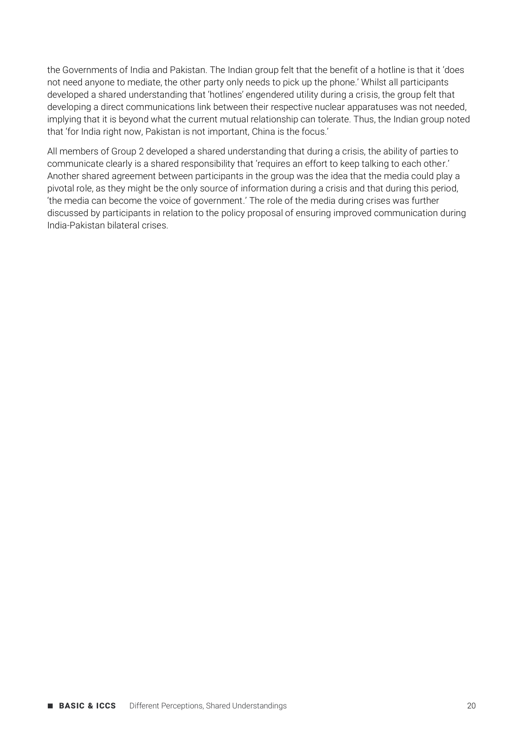the Governments of India and Pakistan. The Indian group felt that the benefit of a hotline is that it 'does not need anyone to mediate, the other party only needs to pick up the phone.' Whilst all participants developed a shared understanding that 'hotlines' engendered utility during a crisis, the group felt that developing a direct communications link between their respective nuclear apparatuses was not needed, implying that it is beyond what the current mutual relationship can tolerate. Thus, the Indian group noted that 'for India right now, Pakistan is not important, China is the focus.'

All members of Group 2 developed a shared understanding that during a crisis, the ability of parties to communicate clearly is a shared responsibility that 'requires an effort to keep talking to each other.' Another shared agreement between participants in the group was the idea that the media could play a pivotal role, as they might be the only source of information during a crisis and that during this period, 'the media can become the voice of government.' The role of the media during crises was further discussed by participants in relation to the policy proposal of ensuring improved communication during India-Pakistan bilateral crises.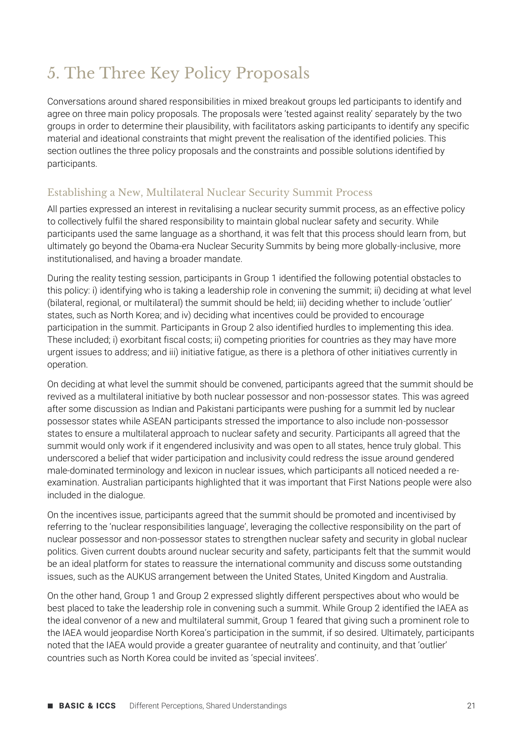### 5. The Three Key Policy Proposals

Conversations around shared responsibilities in mixed breakout groups led participants to identify and agree on three main policy proposals. The proposals were 'tested against reality' separately by the two groups in order to determine their plausibility, with facilitators asking participants to identify any specific material and ideational constraints that might prevent the realisation of the identified policies. This section outlines the three policy proposals and the constraints and possible solutions identified by participants.

### Establishing a New, Multilateral Nuclear Security Summit Process

All parties expressed an interest in revitalising a nuclear security summit process, as an effective policy to collectively fulfil the shared responsibility to maintain global nuclear safety and security. While participants used the same language as a shorthand, it was felt that this process should learn from, but ultimately go beyond the Obama-era Nuclear Security Summits by being more globally-inclusive, more institutionalised, and having a broader mandate.

During the reality testing session, participants in Group 1 identified the following potential obstacles to this policy: i) identifying who is taking a leadership role in convening the summit; ii) deciding at what level (bilateral, regional, or multilateral) the summit should be held; iii) deciding whether to include 'outlier' states, such as North Korea; and iv) deciding what incentives could be provided to encourage participation in the summit. Participants in Group 2 also identified hurdles to implementing this idea. These included; i) exorbitant fiscal costs; ii) competing priorities for countries as they may have more urgent issues to address; and iii) initiative fatigue, as there is a plethora of other initiatives currently in operation.

On deciding at what level the summit should be convened, participants agreed that the summit should be revived as a multilateral initiative by both nuclear possessor and non-possessor states. This was agreed after some discussion as Indian and Pakistani participants were pushing for a summit led by nuclear possessor states while ASEAN participants stressed the importance to also include non-possessor states to ensure a multilateral approach to nuclear safety and security. Participants all agreed that the summit would only work if it engendered inclusivity and was open to all states, hence truly global. This underscored a belief that wider participation and inclusivity could redress the issue around gendered male-dominated terminology and lexicon in nuclear issues, which participants all noticed needed a reexamination. Australian participants highlighted that it was important that First Nations people were also included in the dialogue.

On the incentives issue, participants agreed that the summit should be promoted and incentivised by referring to the 'nuclear responsibilities language', leveraging the collective responsibility on the part of nuclear possessor and non-possessor states to strengthen nuclear safety and security in global nuclear politics. Given current doubts around nuclear security and safety, participants felt that the summit would be an ideal platform for states to reassure the international community and discuss some outstanding issues, such as the AUKUS arrangement between the United States, United Kingdom and Australia.

On the other hand, Group 1 and Group 2 expressed slightly different perspectives about who would be best placed to take the leadership role in convening such a summit. While Group 2 identified the IAEA as the ideal convenor of a new and multilateral summit, Group 1 feared that giving such a prominent role to the IAEA would jeopardise North Korea's participation in the summit, if so desired. Ultimately, participants noted that the IAEA would provide a greater guarantee of neutrality and continuity, and that 'outlier' countries such as North Korea could be invited as 'special invitees'.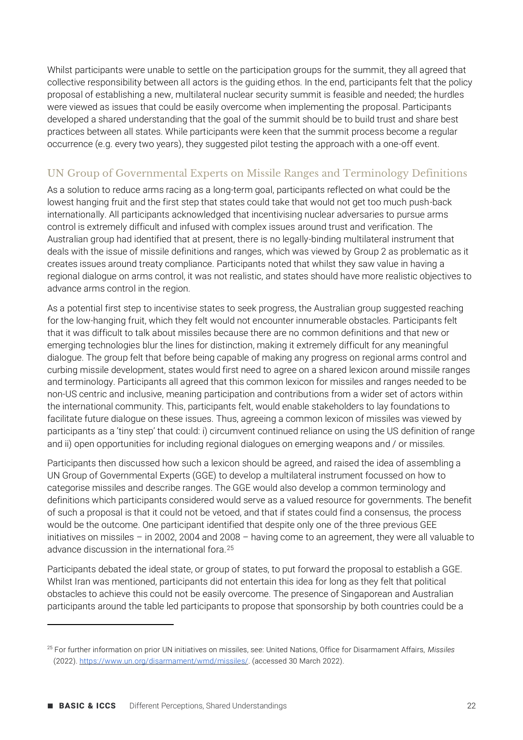Whilst participants were unable to settle on the participation groups for the summit, they all agreed that collective responsibility between all actors is the guiding ethos. In the end, participants felt that the policy proposal of establishing a new, multilateral nuclear security summit is feasible and needed; the hurdles were viewed as issues that could be easily overcome when implementing the proposal. Participants developed a shared understanding that the goal of the summit should be to build trust and share best practices between all states. While participants were keen that the summit process become a regular occurrence (e.g. every two years), they suggested pilot testing the approach with a one-off event.

### UN Group of Governmental Experts on Missile Ranges and Terminology Definitions

As a solution to reduce arms racing as a long-term goal, participants reflected on what could be the lowest hanging fruit and the first step that states could take that would not get too much push-back internationally. All participants acknowledged that incentivising nuclear adversaries to pursue arms control is extremely difficult and infused with complex issues around trust and verification. The Australian group had identified that at present, there is no legally-binding multilateral instrument that deals with the issue of missile definitions and ranges, which was viewed by Group 2 as problematic as it creates issues around treaty compliance. Participants noted that whilst they saw value in having a regional dialogue on arms control, it was not realistic, and states should have more realistic objectives to advance arms control in the region.

As a potential first step to incentivise states to seek progress, the Australian group suggested reaching for the low-hanging fruit, which they felt would not encounter innumerable obstacles. Participants felt that it was difficult to talk about missiles because there are no common definitions and that new or emerging technologies blur the lines for distinction, making it extremely difficult for any meaningful dialogue. The group felt that before being capable of making any progress on regional arms control and curbing missile development, states would first need to agree on a shared lexicon around missile ranges and terminology. Participants all agreed that this common lexicon for missiles and ranges needed to be non-US centric and inclusive, meaning participation and contributions from a wider set of actors within the international community. This, participants felt, would enable stakeholders to lay foundations to facilitate future dialogue on these issues. Thus, agreeing a common lexicon of missiles was viewed by participants as a 'tiny step' that could: i) circumvent continued reliance on using the US definition of range and ii) open opportunities for including regional dialogues on emerging weapons and / or missiles.

Participants then discussed how such a lexicon should be agreed, and raised the idea of assembling a UN Group of Governmental Experts (GGE) to develop a multilateral instrument focussed on how to categorise missiles and describe ranges. The GGE would also develop a common terminology and definitions which participants considered would serve as a valued resource for governments. The benefit of such a proposal is that it could not be vetoed, and that if states could find a consensus, the process would be the outcome. One participant identified that despite only one of the three previous GEE initiatives on missiles – in 2002, 2004 and 2008 – having come to an agreement, they were all valuable to advance discussion in the international fora.<sup>25</sup>

Participants debated the ideal state, or group of states, to put forward the proposal to establish a GGE. Whilst Iran was mentioned, participants did not entertain this idea for long as they felt that political obstacles to achieve this could not be easily overcome. The presence of Singaporean and Australian participants around the table led participants to propose that sponsorship by both countries could be a

<sup>25</sup> For further information on prior UN initiatives on missiles, see: United Nations, Office for Disarmament Affairs, *Missiles*  (2022)[. https://www.un.org/disarmament/wmd/missiles/.](https://www.un.org/disarmament/wmd/missiles/) (accessed 30 March 2022).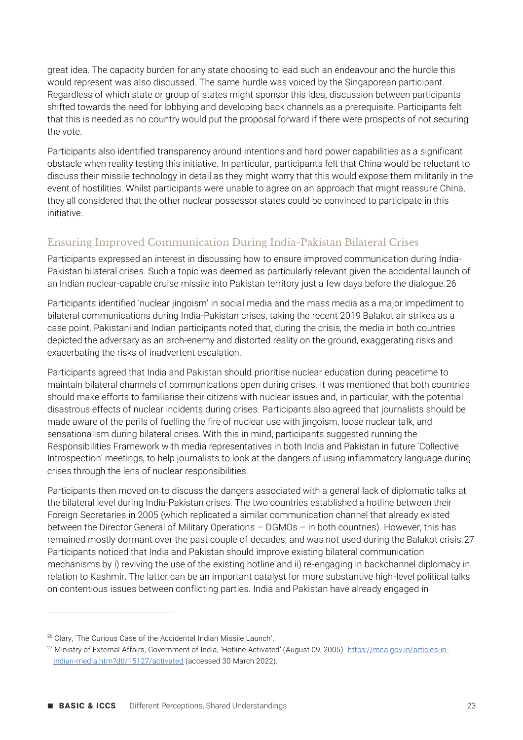great idea. The capacity burden for any state choosing to lead such an endeavour and the hurdle this would represent was also discussed. The same hurdle was voiced by the Singaporean participant. Regardless of which state or group of states might sponsor this idea, discussion between participants shifted towards the need for lobbying and developing back channels as a prerequisite. Participants felt that this is needed as no country would put the proposal forward if there were prospects of not securing the vote.

Participants also identified transparency around intentions and hard power capabilities as a significant obstacle when reality testing this initiative. In particular, participants felt that China would be reluctant to discuss their missile technology in detail as they might worry that this would expose them militarily in the event of hostilities. Whilst participants were unable to agree on an approach that might reassure China, they all considered that the other nuclear possessor states could be convinced to participate in this initiative.

### Ensuring Improved Communication During India-Pakistan Bilateral Crises

Participants expressed an interest in discussing how to ensure improved communication during India-Pakistan bilateral crises. Such a topic was deemed as particularly relevant given the accidental launch of an Indian nuclear-capable cruise missile into Pakistan territory just a few days before the dialogue.26

Participants identified 'nuclear jingoism' in social media and the mass media as a major impediment to bilateral communications during India-Pakistan crises, taking the recent 2019 Balakot air strikes as a case point. Pakistani and Indian participants noted that, during the crisis, the media in both countries depicted the adversary as an arch-enemy and distorted reality on the ground, exaggerating risks and exacerbating the risks of inadvertent escalation.

Participants agreed that India and Pakistan should prioritise nuclear education during peacetime to maintain bilateral channels of communications open during crises. It was mentioned that both countries should make efforts to familiarise their citizens with nuclear issues and, in particular, with the potential disastrous effects of nuclear incidents during crises. Participants also agreed that journalists should be made aware of the perils of fuelling the fire of nuclear use with jingoism, loose nuclear talk, and sensationalism during bilateral crises. With this in mind, participants suggested running the Responsibilities Framework with media representatives in both India and Pakistan in future 'Collective Introspection' meetings, to help journalists to look at the dangers of using inflammatory language during crises through the lens of nuclear responsibilities.

Participants then moved on to discuss the dangers associated with a general lack of diplomatic talks at the bilateral level during India-Pakistan crises. The two countries established a hotline between their Foreign Secretaries in 2005 (which replicated a similar communication channel that already existed between the Director General of Military Operations – DGMOs – in both countries). However, this has remained mostly dormant over the past couple of decades, and was not used during the Balakot crisis.27 Participants noticed that India and Pakistan should improve existing bilateral communication mechanisms by i) reviving the use of the existing hotline and ii) re-engaging in backchannel diplomacy in relation to Kashmir. The latter can be an important catalyst for more substantive high-level political talks on contentious issues between conflicting parties. India and Pakistan have already engaged in

<sup>26</sup> Clary, 'The Curious Case of the Accidental Indian Missile Launch'.

<sup>27</sup> Ministry of External Affairs, Government of India, 'Hotline Activated' (August 09, 2005). [https://mea.gov.in/articles-in](https://mea.gov.in/articles-in-indian-media.htm?dtl/15127/activated)[indian-media.htm?dtl/15127/activated](https://mea.gov.in/articles-in-indian-media.htm?dtl/15127/activated) (accessed 30 March 2022).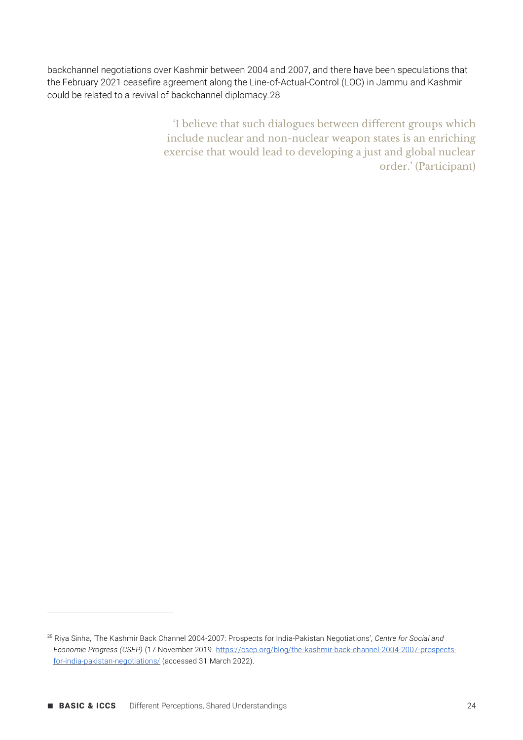backchannel negotiations over Kashmir between 2004 and 2007, and there have been speculations that the February 2021 ceasefire agreement along the Line-of-Actual-Control (LOC) in Jammu and Kashmir could be related to a revival of backchannel diplomacy.28

> 'I believe that such dialogues between different groups which include nuclear and non-nuclear weapon states is an enriching exercise that would lead to developing a just and global nuclear order.' (Participant)

<sup>28</sup> Riya Sinha, 'The Kashmir Back Channel 2004-2007: Prospects for India-Pakistan Negotiations', *Centre for Social and Economic Progress (CSEP)* (17 November 2019[. https://csep.org/blog/the-kashmir-back-channel-2004-2007-prospects](https://csep.org/blog/the-kashmir-back-channel-2004-2007-prospects-for-india-pakistan-negotiations/)[for-india-pakistan-negotiations/](https://csep.org/blog/the-kashmir-back-channel-2004-2007-prospects-for-india-pakistan-negotiations/) (accessed 31 March 2022).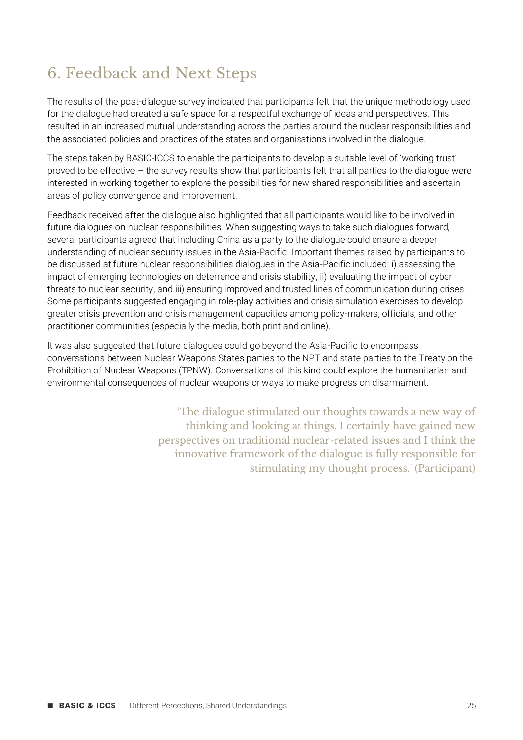### 6. Feedback and Next Steps

The results of the post-dialogue survey indicated that participants felt that the unique methodology used for the dialogue had created a safe space for a respectful exchange of ideas and perspectives. This resulted in an increased mutual understanding across the parties around the nuclear responsibilities and the associated policies and practices of the states and organisations involved in the dialogue.

The steps taken by BASIC-ICCS to enable the participants to develop a suitable level of 'working trust' proved to be effective – the survey results show that participants felt that all parties to the dialogue were interested in working together to explore the possibilities for new shared responsibilities and ascertain areas of policy convergence and improvement.

Feedback received after the dialogue also highlighted that all participants would like to be involved in future dialogues on nuclear responsibilities. When suggesting ways to take such dialogues forward, several participants agreed that including China as a party to the dialogue could ensure a deeper understanding of nuclear security issues in the Asia-Pacific. Important themes raised by participants to be discussed at future nuclear responsibilities dialogues in the Asia-Pacific included: i) assessing the impact of emerging technologies on deterrence and crisis stability, ii) evaluating the impact of cyber threats to nuclear security, and iii) ensuring improved and trusted lines of communication during crises. Some participants suggested engaging in role-play activities and crisis simulation exercises to develop greater crisis prevention and crisis management capacities among policy-makers, officials, and other practitioner communities (especially the media, both print and online).

It was also suggested that future dialogues could go beyond the Asia-Pacific to encompass conversations between Nuclear Weapons States parties to the NPT and state parties to the Treaty on the Prohibition of Nuclear Weapons (TPNW). Conversations of this kind could explore the humanitarian and environmental consequences of nuclear weapons or ways to make progress on disarmament.

> 'The dialogue stimulated our thoughts towards a new way of thinking and looking at things. I certainly have gained new perspectives on traditional nuclear-related issues and I think the innovative framework of the dialogue is fully responsible for stimulating my thought process.' (Participant)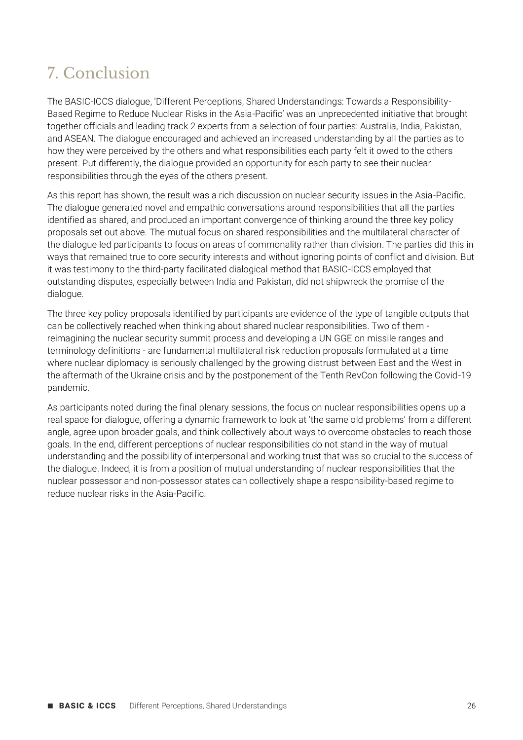### 7. Conclusion

The BASIC-ICCS dialogue, 'Different Perceptions, Shared Understandings: Towards a Responsibility-Based Regime to Reduce Nuclear Risks in the Asia-Pacific' was an unprecedented initiative that brought together officials and leading track 2 experts from a selection of four parties: Australia, India, Pakistan, and ASEAN. The dialogue encouraged and achieved an increased understanding by all the parties as to how they were perceived by the others and what responsibilities each party felt it owed to the others present. Put differently, the dialogue provided an opportunity for each party to see their nuclear responsibilities through the eyes of the others present.

As this report has shown, the result was a rich discussion on nuclear security issues in the Asia-Pacific. The dialogue generated novel and empathic conversations around responsibilities that all the parties identified as shared, and produced an important convergence of thinking around the three key policy proposals set out above. The mutual focus on shared responsibilities and the multilateral character of the dialogue led participants to focus on areas of commonality rather than division. The parties did this in ways that remained true to core security interests and without ignoring points of conflict and division. But it was testimony to the third-party facilitated dialogical method that BASIC-ICCS employed that outstanding disputes, especially between India and Pakistan, did not shipwreck the promise of the dialogue.

The three key policy proposals identified by participants are evidence of the type of tangible outputs that can be collectively reached when thinking about shared nuclear responsibilities. Two of them reimagining the nuclear security summit process and developing a UN GGE on missile ranges and terminology definitions - are fundamental multilateral risk reduction proposals formulated at a time where nuclear diplomacy is seriously challenged by the growing distrust between East and the West in the aftermath of the Ukraine crisis and by the postponement of the Tenth RevCon following the Covid-19 pandemic.

As participants noted during the final plenary sessions, the focus on nuclear responsibilities opens up a real space for dialogue, offering a dynamic framework to look at 'the same old problems' from a different angle, agree upon broader goals, and think collectively about ways to overcome obstacles to reach those goals. In the end, different perceptions of nuclear responsibilities do not stand in the way of mutual understanding and the possibility of interpersonal and working trust that was so crucial to the success of the dialogue. Indeed, it is from a position of mutual understanding of nuclear responsibilities that the nuclear possessor and non-possessor states can collectively shape a responsibility-based regime to reduce nuclear risks in the Asia-Pacific.